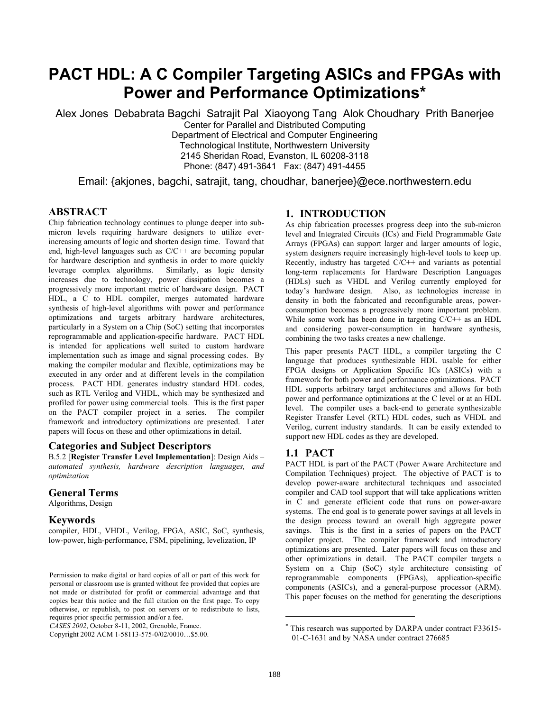# **PACT HDL: A C Compiler Targeting ASICs and FPGAs with Power and Performance Optimizations\***

Alex Jones Debabrata Bagchi Satrajit Pal Xiaoyong Tang Alok Choudhary Prith Banerjee Center for Parallel and Distributed Computing Department of Electrical and Computer Engineering Technological Institute, Northwestern University 2145 Sheridan Road, Evanston, IL 60208-3118 Phone: (847) 491-3641 Fax: (847) 491-4455

Email: {akjones, bagchi, satrajit, tang, choudhar, banerjee}@ece.northwestern.edu

## **ABSTRACT**

Chip fabrication technology continues to plunge deeper into submicron levels requiring hardware designers to utilize everincreasing amounts of logic and shorten design time. Toward that end, high-level languages such as C/C++ are becoming popular for hardware description and synthesis in order to more quickly leverage complex algorithms. Similarly, as logic density increases due to technology, power dissipation becomes a progressively more important metric of hardware design. PACT HDL, a C to HDL compiler, merges automated hardware synthesis of high-level algorithms with power and performance optimizations and targets arbitrary hardware architectures, particularly in a System on a Chip (SoC) setting that incorporates reprogrammable and application-specific hardware. PACT HDL is intended for applications well suited to custom hardware implementation such as image and signal processing codes. By making the compiler modular and flexible, optimizations may be executed in any order and at different levels in the compilation process. PACT HDL generates industry standard HDL codes, such as RTL Verilog and VHDL, which may be synthesized and profiled for power using commercial tools. This is the first paper on the PACT compiler project in a series. The compiler framework and introductory optimizations are presented. Later papers will focus on these and other optimizations in detail.

#### **Categories and Subject Descriptors**

B.5.2 [**Register Transfer Level Implementation**]: Design Aids – *automated synthesis, hardware description languages, and optimization* 

#### **General Terms**

Algorithms, Design

#### **Keywords**

compiler, HDL, VHDL, Verilog, FPGA, ASIC, SoC, synthesis, low-power, high-performance, FSM, pipelining, levelization, IP

#### **1. INTRODUCTION**

As chip fabrication processes progress deep into the sub-micron level and Integrated Circuits (ICs) and Field Programmable Gate Arrays (FPGAs) can support larger and larger amounts of logic, system designers require increasingly high-level tools to keep up. Recently, industry has targeted C/C++ and variants as potential long-term replacements for Hardware Description Languages (HDLs) such as VHDL and Verilog currently employed for today's hardware design. Also, as technologies increase in density in both the fabricated and reconfigurable areas, powerconsumption becomes a progressively more important problem. While some work has been done in targeting C/C++ as an HDL and considering power-consumption in hardware synthesis, combining the two tasks creates a new challenge.

This paper presents PACT HDL, a compiler targeting the C language that produces synthesizable HDL usable for either FPGA designs or Application Specific ICs (ASICs) with a framework for both power and performance optimizations. PACT HDL supports arbitrary target architectures and allows for both power and performance optimizations at the C level or at an HDL level. The compiler uses a back-end to generate synthesizable Register Transfer Level (RTL) HDL codes, such as VHDL and Verilog, current industry standards. It can be easily extended to support new HDL codes as they are developed.

#### **1.1 PACT**

PACT HDL is part of the PACT (Power Aware Architecture and Compilation Techniques) project. The objective of PACT is to develop power-aware architectural techniques and associated compiler and CAD tool support that will take applications written in C and generate efficient code that runs on power-aware systems. The end goal is to generate power savings at all levels in the design process toward an overall high aggregate power savings. This is the first in a series of papers on the PACT compiler project. The compiler framework and introductory optimizations are presented. Later papers will focus on these and other optimizations in detail. The PACT compiler targets a System on a Chip (SoC) style architecture consisting of reprogrammable components (FPGAs), application-specific components (ASICs), and a general-purpose processor (ARM). This paper focuses on the method for generating the descriptions

1

Permission to make digital or hard copies of all or part of this work for personal or classroom use is granted without fee provided that copies are not made or distributed for profit or commercial advantage and that copies bear this notice and the full citation on the first page. To copy otherwise, or republish, to post on servers or to redistribute to lists, requires prior specific permission and/or a fee.

*CASES 2002*, October 8-11, 2002, Grenoble, France.

Copyright 2002 ACM 1-58113-575-0/02/0010…\$5.00.

<sup>\*</sup> This research was supported by DARPA under contract F33615- 01-C-1631 and by NASA under contract 276685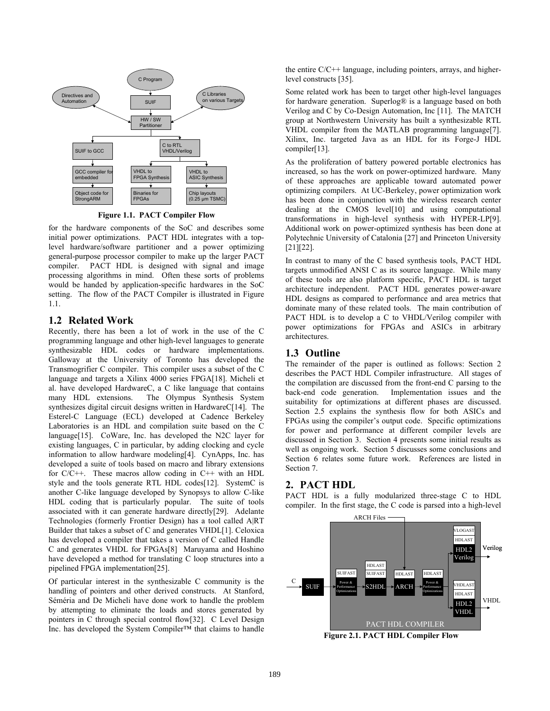

**Figure 1.1. PACT Compiler Flow** 

for the hardware components of the SoC and describes some initial power optimizations. PACT HDL integrates with a toplevel hardware/software partitioner and a power optimizing general-purpose processor compiler to make up the larger PACT compiler. PACT HDL is designed with signal and image processing algorithms in mind. Often these sorts of problems would be handed by application-specific hardwares in the SoC setting. The flow of the PACT Compiler is illustrated in Figure 1.1.

# **1.2 Related Work**

Recently, there has been a lot of work in the use of the C programming language and other high-level languages to generate synthesizable HDL codes or hardware implementations. Galloway at the University of Toronto has developed the Transmogrifier C compiler. This compiler uses a subset of the C language and targets a Xilinx 4000 series FPGA[18]. Micheli et al. have developed HardwareC, a C like language that contains many HDL extensions. The Olympus Synthesis System synthesizes digital circuit designs written in HardwareC[14]. The Esterel-C Language (ECL) developed at Cadence Berkeley Laboratories is an HDL and compilation suite based on the C language[15]. CoWare, Inc. has developed the N2C layer for existing languages, C in particular, by adding clocking and cycle information to allow hardware modeling[4]. CynApps, Inc. has developed a suite of tools based on macro and library extensions for  $C/C++$ . These macros allow coding in  $C++$  with an HDL style and the tools generate RTL HDL codes[12]. SystemC is another C-like language developed by Synopsys to allow C-like HDL coding that is particularly popular. The suite of tools associated with it can generate hardware directly[29]. Adelante Technologies (formerly Frontier Design) has a tool called A|RT Builder that takes a subset of C and generates VHDL[1]. Celoxica has developed a compiler that takes a version of C called Handle C and generates VHDL for FPGAs[8] Maruyama and Hoshino have developed a method for translating C loop structures into a pipelined FPGA implementation[25].

Of particular interest in the synthesizable C community is the handling of pointers and other derived constructs. At Stanford, Séméria and De Micheli have done work to handle the problem by attempting to eliminate the loads and stores generated by pointers in C through special control flow[32]. C Level Design Inc. has developed the System Compiler™ that claims to handle

the entire C/C++ language, including pointers, arrays, and higherlevel constructs [35].

Some related work has been to target other high-level languages for hardware generation. Superlog® is a language based on both Verilog and C by Co-Design Automation, Inc [11]. The MATCH group at Northwestern University has built a synthesizable RTL VHDL compiler from the MATLAB programming language[7]. Xilinx, Inc. targeted Java as an HDL for its Forge-J HDL compiler[13].

As the proliferation of battery powered portable electronics has increased, so has the work on power-optimized hardware. Many of these approaches are applicable toward automated power optimizing compilers. At UC-Berkeley, power optimization work has been done in conjunction with the wireless research center dealing at the CMOS level[10] and using computational transformations in high-level synthesis with HYPER-LP[9]. Additional work on power-optimized synthesis has been done at Polytechnic University of Catalonia [27] and Princeton University [21][22].

In contrast to many of the C based synthesis tools, PACT HDL targets unmodified ANSI C as its source language. While many of these tools are also platform specific, PACT HDL is target architecture independent. PACT HDL generates power-aware HDL designs as compared to performance and area metrics that dominate many of these related tools. The main contribution of PACT HDL is to develop a C to VHDL/Verilog compiler with power optimizations for FPGAs and ASICs in arbitrary architectures.

# **1.3 Outline**

The remainder of the paper is outlined as follows: Section 2 describes the PACT HDL Compiler infrastructure. All stages of the compilation are discussed from the front-end C parsing to the back-end code generation. Implementation issues and the suitability for optimizations at different phases are discussed. Section 2.5 explains the synthesis flow for both ASICs and FPGAs using the compiler's output code. Specific optimizations for power and performance at different compiler levels are discussed in Section 3. Section 4 presents some initial results as well as ongoing work. Section 5 discusses some conclusions and Section 6 relates some future work. References are listed in Section 7.

# **2. PACT HDL**

PACT HDL is a fully modularized three-stage C to HDL compiler. In the first stage, the C code is parsed into a high-level



**Figure 2.1. PACT HDL Compiler Flow**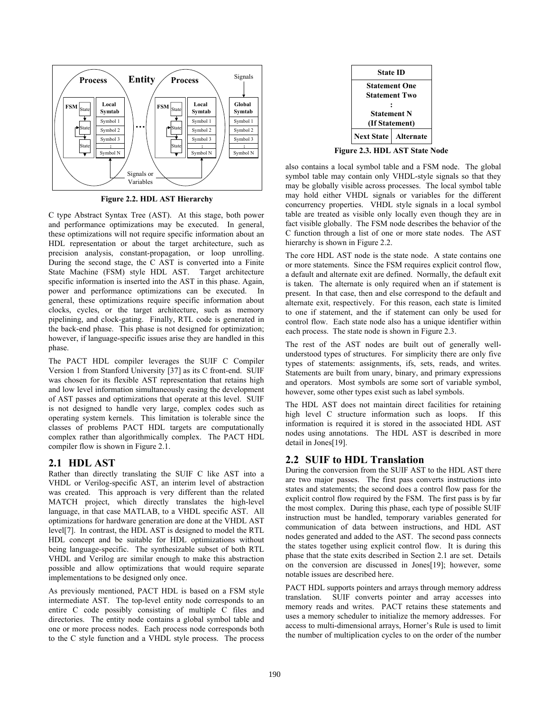

**Figure 2.2. HDL AST Hierarchy** 

C type Abstract Syntax Tree (AST). At this stage, both power and performance optimizations may be executed. In general, these optimizations will not require specific information about an HDL representation or about the target architecture, such as precision analysis, constant-propagation, or loop unrolling. During the second stage, the C AST is converted into a Finite State Machine (FSM) style HDL AST. Target architecture specific information is inserted into the AST in this phase. Again, power and performance optimizations can be executed. In general, these optimizations require specific information about clocks, cycles, or the target architecture, such as memory pipelining, and clock-gating. Finally, RTL code is generated in the back-end phase. This phase is not designed for optimization; however, if language-specific issues arise they are handled in this phase.

The PACT HDL compiler leverages the SUIF C Compiler Version 1 from Stanford University [37] as its C front-end. SUIF was chosen for its flexible AST representation that retains high and low level information simultaneously easing the development of AST passes and optimizations that operate at this level. SUIF is not designed to handle very large, complex codes such as operating system kernels. This limitation is tolerable since the classes of problems PACT HDL targets are computationally complex rather than algorithmically complex. The PACT HDL compiler flow is shown in Figure 2.1.

## **2.1 HDL AST**

Rather than directly translating the SUIF C like AST into a VHDL or Verilog-specific AST, an interim level of abstraction was created. This approach is very different than the related MATCH project, which directly translates the high-level language, in that case MATLAB, to a VHDL specific AST. All optimizations for hardware generation are done at the VHDL AST level[7]. In contrast, the HDL AST is designed to model the RTL HDL concept and be suitable for HDL optimizations without being language-specific. The synthesizable subset of both RTL VHDL and Verilog are similar enough to make this abstraction possible and allow optimizations that would require separate implementations to be designed only once.

As previously mentioned, PACT HDL is based on a FSM style intermediate AST. The top-level entity node corresponds to an entire C code possibly consisting of multiple C files and directories. The entity node contains a global symbol table and one or more process nodes. Each process node corresponds both to the C style function and a VHDL style process. The process



**Figure 2.3. HDL AST State Node** 

also contains a local symbol table and a FSM node. The global symbol table may contain only VHDL-style signals so that they may be globally visible across processes. The local symbol table may hold either VHDL signals or variables for the different concurrency properties. VHDL style signals in a local symbol table are treated as visible only locally even though they are in fact visible globally. The FSM node describes the behavior of the C function through a list of one or more state nodes. The AST hierarchy is shown in Figure 2.2.

The core HDL AST node is the state node. A state contains one or more statements. Since the FSM requires explicit control flow, a default and alternate exit are defined. Normally, the default exit is taken. The alternate is only required when an if statement is present. In that case, then and else correspond to the default and alternate exit, respectively. For this reason, each state is limited to one if statement, and the if statement can only be used for control flow. Each state node also has a unique identifier within each process. The state node is shown in Figure 2.3.

The rest of the AST nodes are built out of generally wellunderstood types of structures. For simplicity there are only five types of statements: assignments, ifs, sets, reads, and writes. Statements are built from unary, binary, and primary expressions and operators. Most symbols are some sort of variable symbol, however, some other types exist such as label symbols.

The HDL AST does not maintain direct facilities for retaining high level C structure information such as loops. If this information is required it is stored in the associated HDL AST nodes using annotations. The HDL AST is described in more detail in Jones[19].

# **2.2 SUIF to HDL Translation**

During the conversion from the SUIF AST to the HDL AST there are two major passes. The first pass converts instructions into states and statements; the second does a control flow pass for the explicit control flow required by the FSM. The first pass is by far the most complex. During this phase, each type of possible SUIF instruction must be handled, temporary variables generated for communication of data between instructions, and HDL AST nodes generated and added to the AST. The second pass connects the states together using explicit control flow. It is during this phase that the state exits described in Section 2.1 are set. Details on the conversion are discussed in Jones[19]; however, some notable issues are described here.

PACT HDL supports pointers and arrays through memory address translation. SUIF converts pointer and array accesses into memory reads and writes. PACT retains these statements and uses a memory scheduler to initialize the memory addresses. For access to multi-dimensional arrays, Horner's Rule is used to limit the number of multiplication cycles to on the order of the number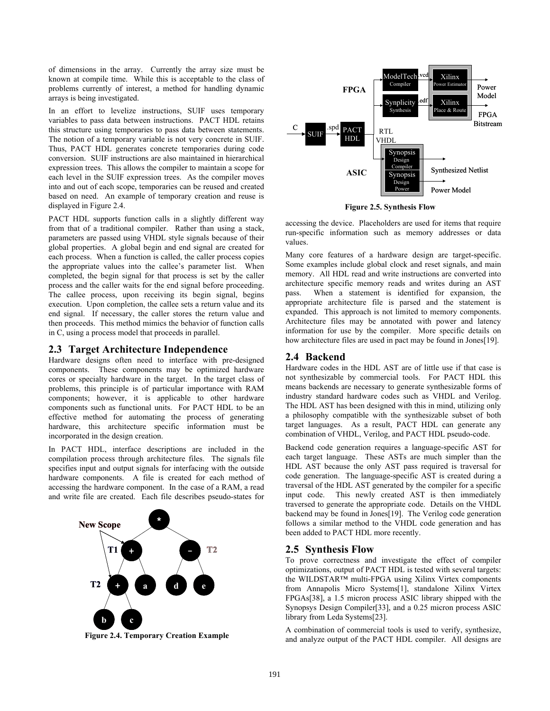of dimensions in the array. Currently the array size must be known at compile time. While this is acceptable to the class of problems currently of interest, a method for handling dynamic arrays is being investigated.

In an effort to levelize instructions, SUIF uses temporary variables to pass data between instructions. PACT HDL retains this structure using temporaries to pass data between statements. The notion of a temporary variable is not very concrete in SUIF. Thus, PACT HDL generates concrete temporaries during code conversion. SUIF instructions are also maintained in hierarchical expression trees. This allows the compiler to maintain a scope for each level in the SUIF expression trees. As the compiler moves into and out of each scope, temporaries can be reused and created based on need. An example of temporary creation and reuse is displayed in Figure 2.4.

PACT HDL supports function calls in a slightly different way from that of a traditional compiler. Rather than using a stack, parameters are passed using VHDL style signals because of their global properties. A global begin and end signal are created for each process. When a function is called, the caller process copies the appropriate values into the callee's parameter list. When completed, the begin signal for that process is set by the caller process and the caller waits for the end signal before proceeding. The callee process, upon receiving its begin signal, begins execution. Upon completion, the callee sets a return value and its end signal. If necessary, the caller stores the return value and then proceeds. This method mimics the behavior of function calls in C, using a process model that proceeds in parallel.

## **2.3 Target Architecture Independence**

Hardware designs often need to interface with pre-designed components. These components may be optimized hardware cores or specialty hardware in the target. In the target class of problems, this principle is of particular importance with RAM components; however, it is applicable to other hardware components such as functional units. For PACT HDL to be an effective method for automating the process of generating hardware, this architecture specific information must be incorporated in the design creation.

In PACT HDL, interface descriptions are included in the compilation process through architecture files. The signals file specifies input and output signals for interfacing with the outside hardware components. A file is created for each method of accessing the hardware component. In the case of a RAM, a read and write file are created. Each file describes pseudo-states for







**Figure 2.5. Synthesis Flow** 

accessing the device. Placeholders are used for items that require run-specific information such as memory addresses or data values.

Many core features of a hardware design are target-specific. Some examples include global clock and reset signals, and main memory. All HDL read and write instructions are converted into architecture specific memory reads and writes during an AST pass. When a statement is identified for expansion, the appropriate architecture file is parsed and the statement is expanded. This approach is not limited to memory components. Architecture files may be annotated with power and latency information for use by the compiler. More specific details on how architecture files are used in pact may be found in Jones[19].

#### **2.4 Backend**

Hardware codes in the HDL AST are of little use if that case is not synthesizable by commercial tools. For PACT HDL this means backends are necessary to generate synthesizable forms of industry standard hardware codes such as VHDL and Verilog. The HDL AST has been designed with this in mind, utilizing only a philosophy compatible with the synthesizable subset of both target languages. As a result, PACT HDL can generate any combination of VHDL, Verilog, and PACT HDL pseudo-code.

Backend code generation requires a language-specific AST for each target language. These ASTs are much simpler than the HDL AST because the only AST pass required is traversal for code generation. The language-specific AST is created during a traversal of the HDL AST generated by the compiler for a specific input code. This newly created AST is then immediately traversed to generate the appropriate code. Details on the VHDL backend may be found in Jones[19]. The Verilog code generation follows a similar method to the VHDL code generation and has been added to PACT HDL more recently.

# **2.5 Synthesis Flow**

To prove correctness and investigate the effect of compiler optimizations, output of PACT HDL is tested with several targets: the WILDSTAR™ multi-FPGA using Xilinx Virtex components from Annapolis Micro Systems[1], standalone Xilinx Virtex FPGAs[38], a 1.5 micron process ASIC library shipped with the Synopsys Design Compiler[33], and a 0.25 micron process ASIC library from Leda Systems[23].

A combination of commercial tools is used to verify, synthesize, Figure 2.4. Temporary Creation Example<br>and analyze output of the PACT HDL compiler. All designs are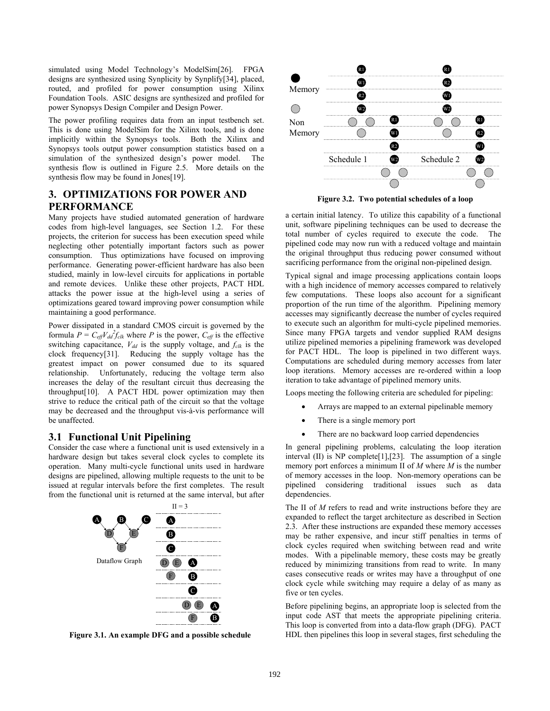simulated using Model Technology's ModelSim[26]. FPGA designs are synthesized using Synplicity by Synplify[34], placed, routed, and profiled for power consumption using Xilinx Foundation Tools. ASIC designs are synthesized and profiled for power Synopsys Design Compiler and Design Power.

The power profiling requires data from an input testbench set. This is done using ModelSim for the Xilinx tools, and is done implicitly within the Synopsys tools. Both the Xilinx and Synopsys tools output power consumption statistics based on a simulation of the synthesized design's power model. The synthesis flow is outlined in Figure 2.5. More details on the synthesis flow may be found in Jones<sup>[19]</sup>.

# **3. OPTIMIZATIONS FOR POWER AND PERFORMANCE**

Many projects have studied automated generation of hardware codes from high-level languages, see Section 1.2. For these projects, the criterion for success has been execution speed while neglecting other potentially important factors such as power consumption. Thus optimizations have focused on improving performance. Generating power-efficient hardware has also been studied, mainly in low-level circuits for applications in portable and remote devices. Unlike these other projects, PACT HDL attacks the power issue at the high-level using a series of optimizations geared toward improving power consumption while maintaining a good performance.

Power dissipated in a standard CMOS circuit is governed by the formula  $P = C_{\text{eff}} V_{\text{dd}}^2 f_{\text{clk}}$  where *P* is the power,  $C_{\text{eff}}$  is the effective switching capacitance,  $V_{dd}$  is the supply voltage, and  $f_{ck}$  is the clock frequency[31]. Reducing the supply voltage has the greatest impact on power consumed due to its squared relationship. Unfortunately, reducing the voltage term also increases the delay of the resultant circuit thus decreasing the throughput[10]. A PACT HDL power optimization may then strive to reduce the critical path of the circuit so that the voltage may be decreased and the throughput vis-à-vis performance will be unaffected.

# **3.1 Functional Unit Pipelining**

Consider the case where a functional unit is used extensively in a hardware design but takes several clock cycles to complete its operation. Many multi-cycle functional units used in hardware designs are pipelined, allowing multiple requests to the unit to be issued at regular intervals before the first completes. The result from the functional unit is returned at the same interval, but after





**Figure 3.2. Two potential schedules of a loop** 

a certain initial latency. To utilize this capability of a functional unit, software pipelining techniques can be used to decrease the total number of cycles required to execute the code. The pipelined code may now run with a reduced voltage and maintain the original throughput thus reducing power consumed without sacrificing performance from the original non-pipelined design.

Typical signal and image processing applications contain loops with a high incidence of memory accesses compared to relatively few computations. These loops also account for a significant proportion of the run time of the algorithm. Pipelining memory accesses may significantly decrease the number of cycles required to execute such an algorithm for multi-cycle pipelined memories. Since many FPGA targets and vendor supplied RAM designs utilize pipelined memories a pipelining framework was developed for PACT HDL. The loop is pipelined in two different ways. Computations are scheduled during memory accesses from later loop iterations. Memory accesses are re-ordered within a loop iteration to take advantage of pipelined memory units.

Loops meeting the following criteria are scheduled for pipeling:

- Arrays are mapped to an external pipelinable memory
- There is a single memory port
- There are no backward loop carried dependencies

In general pipelining problems, calculating the loop iteration interval (II) is NP complete[1],[23]. The assumption of a single memory port enforces a minimum II of *M* where *M* is the number of memory accesses in the loop. Non-memory operations can be pipelined considering traditional issues such as data dependencies.

The II of *M* refers to read and write instructions before they are expanded to reflect the target architecture as described in Section 2.3. After these instructions are expanded these memory accesses may be rather expensive, and incur stiff penalties in terms of clock cycles required when switching between read and write modes. With a pipelinable memory, these costs may be greatly reduced by minimizing transitions from read to write. In many cases consecutive reads or writes may have a throughput of one clock cycle while switching may require a delay of as many as five or ten cycles.

Before pipelining begins, an appropriate loop is selected from the input code AST that meets the appropriate pipelining criteria. This loop is converted from into a data-flow graph (DFG). PACT **Figure 3.1. An example DFG and a possible schedule** <sup>HDL</sup> then pipelines this loop in several stages, first scheduling the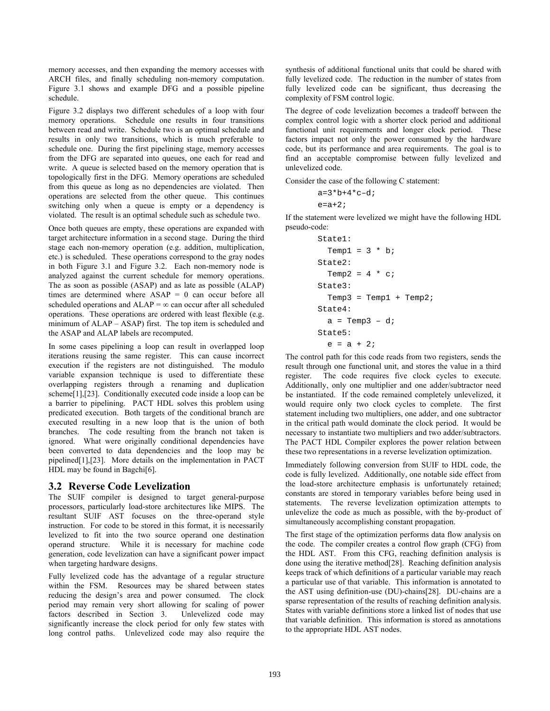memory accesses, and then expanding the memory accesses with ARCH files, and finally scheduling non-memory computation. Figure 3.1 shows and example DFG and a possible pipeline schedule.

Figure 3.2 displays two different schedules of a loop with four memory operations. Schedule one results in four transitions between read and write. Schedule two is an optimal schedule and results in only two transitions, which is much preferable to schedule one. During the first pipelining stage, memory accesses from the DFG are separated into queues, one each for read and write. A queue is selected based on the memory operation that is topologically first in the DFG. Memory operations are scheduled from this queue as long as no dependencies are violated. Then operations are selected from the other queue. This continues switching only when a queue is empty or a dependency is violated. The result is an optimal schedule such as schedule two.

Once both queues are empty, these operations are expanded with target architecture information in a second stage. During the third stage each non-memory operation (e.g. addition, multiplication, etc.) is scheduled. These operations correspond to the gray nodes in both Figure 3.1 and Figure 3.2. Each non-memory node is analyzed against the current schedule for memory operations. The as soon as possible (ASAP) and as late as possible (ALAP) times are determined where ASAP = 0 can occur before all scheduled operations and  $ALAP = \infty$  can occur after all scheduled operations. These operations are ordered with least flexible (e.g. minimum of ALAP – ASAP) first. The top item is scheduled and the ASAP and ALAP labels are recomputed.

In some cases pipelining a loop can result in overlapped loop iterations reusing the same register. This can cause incorrect execution if the registers are not distinguished. The modulo variable expansion technique is used to differentiate these overlapping registers through a renaming and duplication scheme[1],[23]. Conditionally executed code inside a loop can be a barrier to pipelining. PACT HDL solves this problem using predicated execution. Both targets of the conditional branch are executed resulting in a new loop that is the union of both branches. The code resulting from the branch not taken is ignored. What were originally conditional dependencies have been converted to data dependencies and the loop may be pipelined[1],[23]. More details on the implementation in PACT HDL may be found in Bagchi[6].

#### **3.2 Reverse Code Levelization**

The SUIF compiler is designed to target general-purpose processors, particularly load-store architectures like MIPS. The resultant SUIF AST focuses on the three-operand style instruction. For code to be stored in this format, it is necessarily levelized to fit into the two source operand one destination operand structure. While it is necessary for machine code generation, code levelization can have a significant power impact when targeting hardware designs.

Fully levelized code has the advantage of a regular structure within the FSM. Resources may be shared between states reducing the design's area and power consumed. The clock period may remain very short allowing for scaling of power factors described in Section 3. Unlevelized code may significantly increase the clock period for only few states with long control paths. Unlevelized code may also require the synthesis of additional functional units that could be shared with fully levelized code. The reduction in the number of states from fully levelized code can be significant, thus decreasing the complexity of FSM control logic.

The degree of code levelization becomes a tradeoff between the complex control logic with a shorter clock period and additional functional unit requirements and longer clock period. These factors impact not only the power consumed by the hardware code, but its performance and area requirements. The goal is to find an acceptable compromise between fully levelized and unlevelized code.

Consider the case of the following C statement:

$$
a=3*b+4*c-di
$$
  

$$
e=a+2i
$$

If the statement were levelized we might have the following HDL pseudo-code:

```
State1: 
  Temp1 = 3 * b;
State2: 
  Temp2 = 4 * c;
State3: 
  Temp3 = Temp1 + Temp2;State4: 
  a = Temp3 - diState5: 
  e = a + 2i
```
The control path for this code reads from two registers, sends the result through one functional unit, and stores the value in a third register. The code requires five clock cycles to execute. Additionally, only one multiplier and one adder/subtractor need be instantiated. If the code remained completely unlevelized, it would require only two clock cycles to complete. The first statement including two multipliers, one adder, and one subtractor in the critical path would dominate the clock period. It would be necessary to instantiate two multipliers and two adder/subtractors. The PACT HDL Compiler explores the power relation between these two representations in a reverse levelization optimization.

Immediately following conversion from SUIF to HDL code, the code is fully levelized. Additionally, one notable side effect from the load-store architecture emphasis is unfortunately retained; constants are stored in temporary variables before being used in statements. The reverse levelization optimization attempts to unlevelize the code as much as possible, with the by-product of simultaneously accomplishing constant propagation.

The first stage of the optimization performs data flow analysis on the code. The compiler creates a control flow graph (CFG) from the HDL AST. From this CFG, reaching definition analysis is done using the iterative method[28]. Reaching definition analysis keeps track of which definitions of a particular variable may reach a particular use of that variable. This information is annotated to the AST using definition-use (DU)-chains[28]. DU-chains are a sparse representation of the results of reaching definition analysis. States with variable definitions store a linked list of nodes that use that variable definition. This information is stored as annotations to the appropriate HDL AST nodes.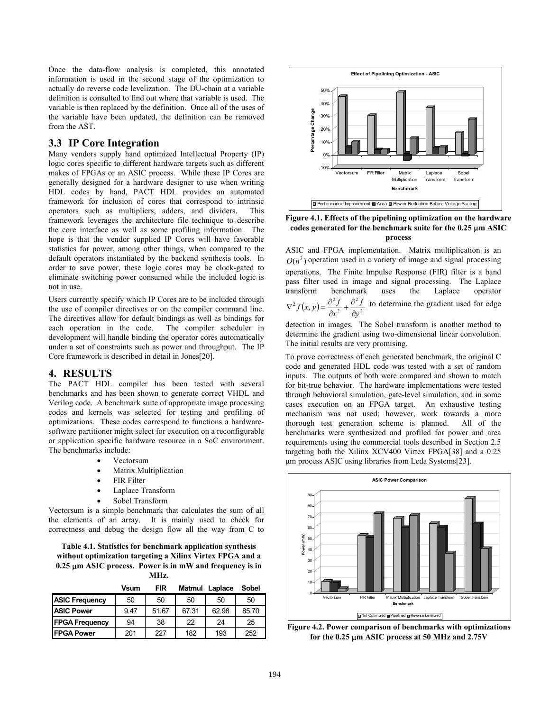Once the data-flow analysis is completed, this annotated information is used in the second stage of the optimization to actually do reverse code levelization. The DU-chain at a variable definition is consulted to find out where that variable is used. The variable is then replaced by the definition. Once all of the uses of the variable have been updated, the definition can be removed from the AST.

## **3.3 IP Core Integration**

Many vendors supply hand optimized Intellectual Property (IP) logic cores specific to different hardware targets such as different makes of FPGAs or an ASIC process. While these IP Cores are generally designed for a hardware designer to use when writing HDL codes by hand, PACT HDL provides an automated framework for inclusion of cores that correspond to intrinsic operators such as multipliers, adders, and dividers. This framework leverages the architecture file technique to describe the core interface as well as some profiling information. The hope is that the vendor supplied IP Cores will have favorable statistics for power, among other things, when compared to the default operators instantiated by the backend synthesis tools. In order to save power, these logic cores may be clock-gated to eliminate switching power consumed while the included logic is not in use.

Users currently specify which IP Cores are to be included through the use of compiler directives or on the compiler command line. The directives allow for default bindings as well as bindings for each operation in the code. The compiler scheduler in development will handle binding the operator cores automatically under a set of constraints such as power and throughput. The IP Core framework is described in detail in Jones[20].

#### **4. RESULTS**

The PACT HDL compiler has been tested with several benchmarks and has been shown to generate correct VHDL and Verilog code. A benchmark suite of appropriate image processing codes and kernels was selected for testing and profiling of optimizations. These codes correspond to functions a hardwaresoftware partitioner might select for execution on a reconfigurable or application specific hardware resource in a SoC environment. The benchmarks include:

- Vectorsum
- Matrix Multiplication
- FIR Filter
- Laplace Transform
- Sobel Transform

Vectorsum is a simple benchmark that calculates the sum of all the elements of an array. It is mainly used to check for correctness and debug the design flow all the way from C to

**Table 4.1. Statistics for benchmark application synthesis without optimization targeting a Xilinx Virtex FPGA and a 0.25** µ**m ASIC process. Power is in mW and frequency is in MHz.** 

|                       | Vsum | FIR   | Matmul | Laplace | Sobel |
|-----------------------|------|-------|--------|---------|-------|
| <b>ASIC Frequency</b> | 50   | 50    | 50     | 50      | 50    |
| <b>IASIC Power</b>    | 9.47 | 51.67 | 67.31  | 62.98   | 85.70 |
| <b>FPGA Frequency</b> | 94   | 38    | 22     | 24      | 25    |
| <b>IFPGA Power</b>    | 201  | 227   | 182    | 193     | 252   |



**Figure 4.1. Effects of the pipelining optimization on the hardware codes generated for the benchmark suite for the 0.25** µ**m ASIC process** 

ASIC and FPGA implementation. Matrix multiplication is an  $O(n^3)$  operation used in a variety of image and signal processing operations. The Finite Impulse Response (FIR) filter is a band pass filter used in image and signal processing. The Laplace transform benchmark uses the Laplace operator  $(x, y) = \frac{\partial^2 f}{\partial x^2} + \frac{\partial^2 f}{\partial y^2}$ 2  $f(x, y) = \frac{\partial^2 f}{\partial x^2} + \frac{\partial^2 f}{\partial y^2}$  $\nabla^2 f(x, y) = \frac{\partial^2 f}{\partial x^2} + \frac{\partial^2 f}{\partial y^2}$  to determine the gradient used for edge

detection in images. The Sobel transform is another method to determine the gradient using two-dimensional linear convolution. The initial results are very promising.

To prove correctness of each generated benchmark, the original C code and generated HDL code was tested with a set of random inputs. The outputs of both were compared and shown to match for bit-true behavior. The hardware implementations were tested through behavioral simulation, gate-level simulation, and in some cases execution on an FPGA target. An exhaustive testing mechanism was not used; however, work towards a more thorough test generation scheme is planned.All of the benchmarks were synthesized and profiled for power and area requirements using the commercial tools described in Section 2.5 targeting both the Xilinx XCV400 Virtex FPGA[38] and a 0.25 µm process ASIC using libraries from Leda Systems[23].



**Figure 4.2. Power comparison of benchmarks with optimizations for the 0.25** µ**m ASIC process at 50 MHz and 2.75V**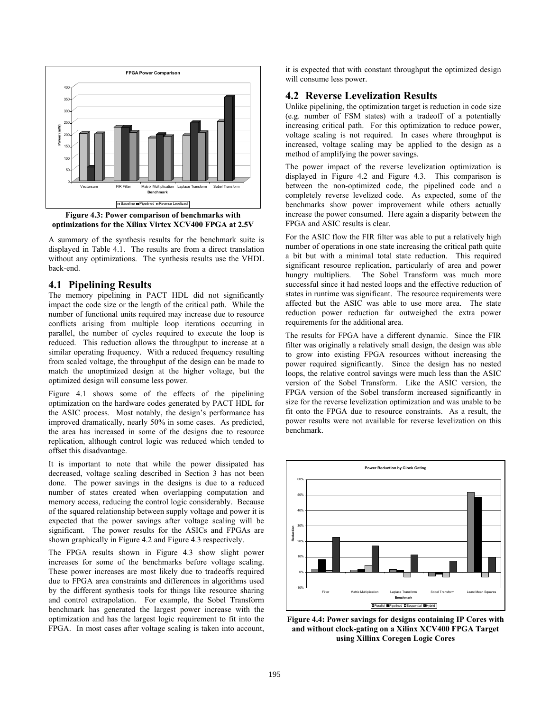

**Figure 4.3: Power comparison of benchmarks with optimizations for the Xilinx Virtex XCV400 FPGA at 2.5V** 

A summary of the synthesis results for the benchmark suite is displayed in Table 4.1. The results are from a direct translation without any optimizations. The synthesis results use the VHDL back-end.

## **4.1 Pipelining Results**

The memory pipelining in PACT HDL did not significantly impact the code size or the length of the critical path. While the number of functional units required may increase due to resource conflicts arising from multiple loop iterations occurring in parallel, the number of cycles required to execute the loop is reduced. This reduction allows the throughput to increase at a similar operating frequency. With a reduced frequency resulting from scaled voltage, the throughput of the design can be made to match the unoptimized design at the higher voltage, but the optimized design will consume less power.

Figure 4.1 shows some of the effects of the pipelining optimization on the hardware codes generated by PACT HDL for the ASIC process. Most notably, the design's performance has improved dramatically, nearly 50% in some cases. As predicted, the area has increased in some of the designs due to resource replication, although control logic was reduced which tended to offset this disadvantage.

It is important to note that while the power dissipated has decreased, voltage scaling described in Section 3 has not been done. The power savings in the designs is due to a reduced number of states created when overlapping computation and memory access, reducing the control logic considerably. Because of the squared relationship between supply voltage and power it is expected that the power savings after voltage scaling will be significant. The power results for the ASICs and FPGAs are shown graphically in Figure 4.2 and Figure 4.3 respectively.

The FPGA results shown in Figure 4.3 show slight power increases for some of the benchmarks before voltage scaling. These power increases are most likely due to tradeoffs required due to FPGA area constraints and differences in algorithms used by the different synthesis tools for things like resource sharing and control extrapolation. For example, the Sobel Transform benchmark has generated the largest power increase with the optimization and has the largest logic requirement to fit into the FPGA. In most cases after voltage scaling is taken into account, it is expected that with constant throughput the optimized design will consume less power.

# **4.2 Reverse Levelization Results**

Unlike pipelining, the optimization target is reduction in code size (e.g. number of FSM states) with a tradeoff of a potentially increasing critical path. For this optimization to reduce power, voltage scaling is not required. In cases where throughput is increased, voltage scaling may be applied to the design as a method of amplifying the power savings.

The power impact of the reverse levelization optimization is displayed in Figure 4.2 and Figure 4.3. This comparison is between the non-optimized code, the pipelined code and a completely reverse levelized code. As expected, some of the benchmarks show power improvement while others actually increase the power consumed. Here again a disparity between the FPGA and ASIC results is clear.

For the ASIC flow the FIR filter was able to put a relatively high number of operations in one state increasing the critical path quite a bit but with a minimal total state reduction. This required significant resource replication, particularly of area and power hungry multipliers. The Sobel Transform was much more successful since it had nested loops and the effective reduction of states in runtime was significant. The resource requirements were affected but the ASIC was able to use more area. The state reduction power reduction far outweighed the extra power requirements for the additional area.

The results for FPGA have a different dynamic. Since the FIR filter was originally a relatively small design, the design was able to grow into existing FPGA resources without increasing the power required significantly. Since the design has no nested loops, the relative control savings were much less than the ASIC version of the Sobel Transform. Like the ASIC version, the FPGA version of the Sobel transform increased significantly in size for the reverse levelization optimization and was unable to be fit onto the FPGA due to resource constraints. As a result, the power results were not available for reverse levelization on this benchmark.



**Figure 4.4: Power savings for designs containing IP Cores with and without clock-gating on a Xilinx XCV400 FPGA Target using Xillinx Coregen Logic Cores**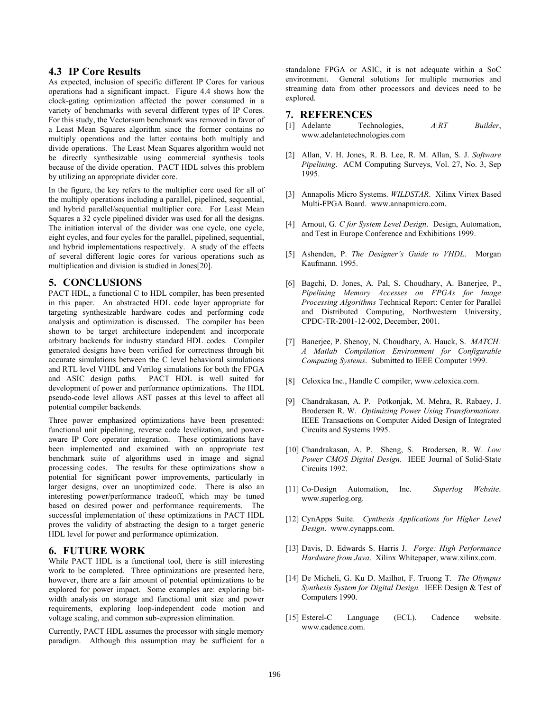#### **4.3 IP Core Results**

As expected, inclusion of specific different IP Cores for various operations had a significant impact. Figure 4.4 shows how the clock-gating optimization affected the power consumed in a variety of benchmarks with several different types of IP Cores. For this study, the Vectorsum benchmark was removed in favor of a Least Mean Squares algorithm since the former contains no multiply operations and the latter contains both multiply and divide operations. The Least Mean Squares algorithm would not be directly synthesizable using commercial synthesis tools because of the divide operation. PACT HDL solves this problem by utilizing an appropriate divider core.

In the figure, the key refers to the multiplier core used for all of the multiply operations including a parallel, pipelined, sequential, and hybrid parallel/sequential multiplier core. For Least Mean Squares a 32 cycle pipelined divider was used for all the designs. The initiation interval of the divider was one cycle, one cycle, eight cycles, and four cycles for the parallel, pipelined, sequential, and hybrid implementations respectively. A study of the effects of several different logic cores for various operations such as multiplication and division is studied in Jones[20].

#### **5. CONCLUSIONS**

PACT HDL, a functional C to HDL compiler, has been presented in this paper. An abstracted HDL code layer appropriate for targeting synthesizable hardware codes and performing code analysis and optimization is discussed. The compiler has been shown to be target architecture independent and incorporate arbitrary backends for industry standard HDL codes. Compiler generated designs have been verified for correctness through bit accurate simulations between the C level behavioral simulations and RTL level VHDL and Verilog simulations for both the FPGA and ASIC design paths. PACT HDL is well suited for development of power and performance optimizations. The HDL pseudo-code level allows AST passes at this level to affect all potential compiler backends.

Three power emphasized optimizations have been presented: functional unit pipelining, reverse code levelization, and poweraware IP Core operator integration. These optimizations have been implemented and examined with an appropriate test benchmark suite of algorithms used in image and signal processing codes. The results for these optimizations show a potential for significant power improvements, particularly in larger designs, over an unoptimized code. There is also an interesting power/performance tradeoff, which may be tuned based on desired power and performance requirements. The successful implementation of these optimizations in PACT HDL proves the validity of abstracting the design to a target generic HDL level for power and performance optimization.

#### **6. FUTURE WORK**

While PACT HDL is a functional tool, there is still interesting work to be completed. Three optimizations are presented here, however, there are a fair amount of potential optimizations to be explored for power impact. Some examples are: exploring bitwidth analysis on storage and functional unit size and power requirements, exploring loop-independent code motion and voltage scaling, and common sub-expression elimination.

Currently, PACT HDL assumes the processor with single memory paradigm. Although this assumption may be sufficient for a standalone FPGA or ASIC, it is not adequate within a SoC environment. General solutions for multiple memories and streaming data from other processors and devices need to be explored.

#### **7. REFERENCES**

- [1] Adelante Technologies, *A|RT Builder*, www.adelantetechnologies.com
- [2] Allan, V. H. Jones, R. B. Lee, R. M. Allan, S. J. *Software Pipelining*. ACM Computing Surveys, Vol. 27, No. 3, Sep 1995.
- [3] Annapolis Micro Systems. *WILDSTAR*. Xilinx Virtex Based Multi-FPGA Board. www.annapmicro.com.
- [4] Arnout, G. *C for System Level Design*. Design, Automation, and Test in Europe Conference and Exhibitions 1999.
- [5] Ashenden, P. *The Designer's Guide to VHDL*. Morgan Kaufmann. 1995.
- [6] Bagchi, D. Jones, A. Pal, S. Choudhary, A. Banerjee, P., *Pipelining Memory Accesses on FPGAs for Image Processing Algorithms* Technical Report: Center for Parallel and Distributed Computing, Northwestern University, CPDC-TR-2001-12-002, December, 2001.
- [7] Banerjee, P. Shenoy, N. Choudhary, A. Hauck, S. *MATCH: A Matlab Compilation Environment for Configurable Computing Systems*. Submitted to IEEE Computer 1999.
- [8] Celoxica Inc., Handle C compiler, www.celoxica.com.
- [9] Chandrakasan, A. P. Potkonjak, M. Mehra, R. Rabaey, J. Brodersen R. W. *Optimizing Power Using Transformations*. IEEE Transactions on Computer Aided Design of Integrated Circuits and Systems 1995.
- [10] Chandrakasan, A. P. Sheng, S. Brodersen, R. W. *Low Power CMOS Digital Design*. IEEE Journal of Solid-State Circuits 1992.
- [11] Co-Design Automation, Inc. *Superlog Website*. www.superlog.org.
- [12] CynApps Suite. *Cynthesis Applications for Higher Level Design*. www.cynapps.com.
- [13] Davis, D. Edwards S. Harris J. *Forge: High Performance Hardware from Java*. Xilinx Whitepaper, www.xilinx.com.
- [14] De Micheli, G. Ku D. Mailhot, F. Truong T. *The Olympus Synthesis System for Digital Design.* IEEE Design & Test of Computers 1990.
- [15] Esterel-C Language (ECL). Cadence website. www.cadence.com.